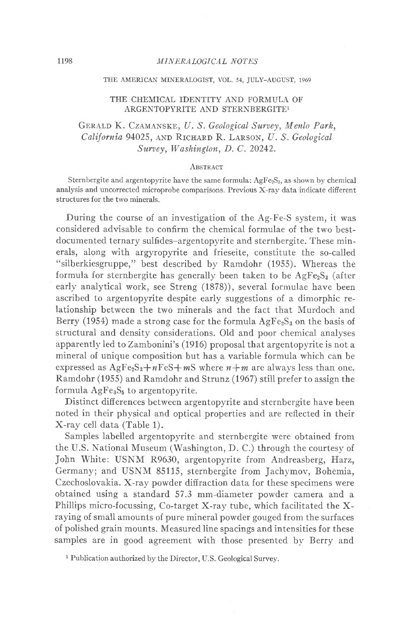#### THE AMERICAN MINERALOGIST, VOL. 54, JULY\_AUGUST, 1969

#### THE CHEMICAL IDENTITY AND FORMULA OF ARGENTOPYRITE AND STERNBERGITEI

# GERALD K. CZAMANSKE, U. S. Geological Survey, Menlo Park, California 94025, AND RICHARD R. LARSON, U. S. Geological Survey, Washington, D. C. 20242.

#### ABSTRACT

Sternbergite and argentopyrite have the same formula;  $AgFe<sub>2</sub>S<sub>3</sub>$ , as shown by chemical analysis and uncorrected microprobe comparisons. Previous X-ray data indicate difierent structures for the two minerals.

During the course of an investigation of the Ag-Fe-S system, it was considered advisable to confirm the chemical formulae of the two bestdocumented ternary sulfides-argentopyrite and sternbergite. These minerals, along with argyropyrite and frieseite, constitute the so-called "silberkiesgruppe," best described by Ramdohr (1955). Whereas the formula for sternbergite has generally been taken to be  $AgFe<sub>2</sub>S<sub>3</sub>$  (after earlv analytical work, see Streng (1878)), several formulae have been ascribed to argentopyrite despite early suggestions of a dimorphic relationship between the two minerals and the fact that Murdoch and Berry (1954) made a strong case for the formula  $AgFe<sub>2</sub>S<sub>3</sub>$  on the basis of structural and density considerations. Old and poor chemical analyses apparently led to Zambonini's (1916) proposal that argentopyrite is not a mineral of unique composition but has a variable formula which can be expressed as  $AgFe<sub>2</sub>S<sub>3</sub>+nFeS+mS$  where  $n+m$  are always less than one. Ramdohr (1955) and Ramdohr and Strunz (1967) still prefer to assign the formula  $AgFe<sub>3</sub>S<sub>5</sub>$  to argentopyrite.

Distinct differences between argentopyrite and sternbergite have been noted in their physical and optical properties and are reflected in their X-ray cell data (Table 1).

Samples labelled argentopvrite and sternbergite were obtained from the U.S. National Museum (Washington, D. C.) through the courtesy of John White: USNM R9630, argentopyrite from Andreasberg, Harz, Germany; and USNM 85115, sternbergite from Jachymov, Bohemia, Czechoslovakia. X-ray powder diffraction data for these specimens were obtained using a standard 57.3 mm-diameter powder camera and a Phillips micro-focussing, Co-target X-ray tube, which facilitated the Xraying of small amounts of pure mineral powder gouged from the surfaces of polished grain mounts. Measured line spacings and intensities for these samples are in good agreement with those presented by Berry and

<sup>1</sup> Publication authorized by the Director, U.S. Geological Survey.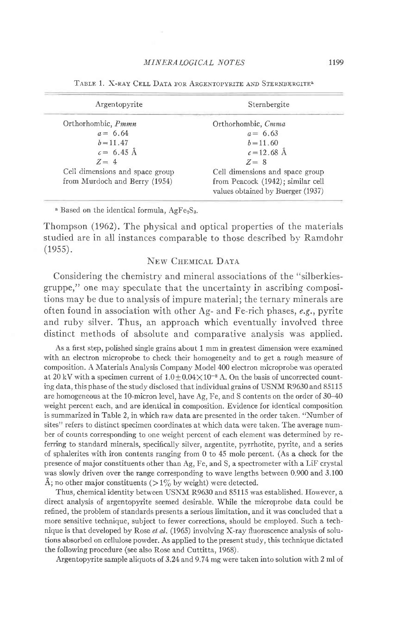| Argentopyrite                   | Sternbergite                      |  |  |
|---------------------------------|-----------------------------------|--|--|
| Orthorhombic, Pmmn              | Orthorhombic, Cmma                |  |  |
| $a = 6.64$                      | $a = 6.63$                        |  |  |
| $b = 11.47$                     | $b = 11.60$                       |  |  |
| $c = 6.45 \text{ Å}$            | $c = 12.68$ Å                     |  |  |
| $Z = 4$                         | $Z = 8$                           |  |  |
| Cell dimensions and space group | Cell dimensions and space group   |  |  |
| from Murdoch and Berry (1954)   | from Peacock (1942); similar cell |  |  |
|                                 | values obtained by Buerger (1937) |  |  |

TABLE 1. X-RAY CELL DATA FOR ARGENTOPVRITE AND STERNBERGITE<sup>3</sup>

 $^{\circ}$  Based on the identical formula, AgFe<sub>2</sub>S<sub>3</sub>.

Thompson (1962). The physical and optical properties of the materials studied are in all instances comparable to those described by Ramdohr  $(1955).$ 

## NEW CHEMICAL DATA

Considering the chemistry and mineral associations of the "silberkiesgruppe," one may speculate that the uncertainty in ascribing compositions may be due to analysis of impure material; the ternary minerals are often found in association with other Ag- and Fe-rich phases, e.g., pyrite and ruby silver. Thus, an approach which eventually involved three distinct methods of absolute and comparative analysis was applied.

As a first step, polished single grains about 1 mm in greatest dimension were examined with an electron microprobe to check their homogeneity and to get a rough measure of composition. A Materials Analysis Company Model 400 electron microprobe was operated at 20 kV with a specimen current of  $1.0 \pm 0.04 \times 10^{-8}$  A. On the basis of uncorrected counting data, this phase of the study disclosed that individual grains of USNM R9630 and 85115 are homogeneous at the lO-micron level, have Ag, Fe, and S contents on the order of 30-40 weight percent each, and are identical in composition. Evidence for identical composition is summarized in Table 2, in which raw data are presented in the order taken. "Number of sites" refers to distinct specimen coordinates at which data were taken. The average number of counts corresponding to one weight percent of each element was determined by referring to standard minerals, specifically silver, argentite, pyrrhotite, pyrite, and a series of sphalerites with iron contents ranging from 0 to 45 mole percent. (As a check for the presence of major constituents other than Ag, Fe, and S, a spectrometer with a LiF crystal was slowly driven over the range corresponding to wave lengths between 0.900 and 3.100 Å; no other major constituents ( $> 1\%$  by weight) were detected.

Thus, chemical identity between USNM R9630 and 85115 was established. However, a direct analysis of argentopyrite seemed desirable. While the microprobe data could be refined, the problem of standards presents a serious limitation, and it was concluded that a more sensitive technique, subject to fewer corrections, should be employed. Such a technique is that developed by Rose et al. (1965) involving X-ray fluorescence analysis of solutions absorbed on cellulose powder. As applied to the present study, this technique dictated the following procedure (see also Rose and Cuttitta, 1968).

Argentopyrite sample aliquots of 3.24 and 9.74 mg were taken into solution with 2 ml of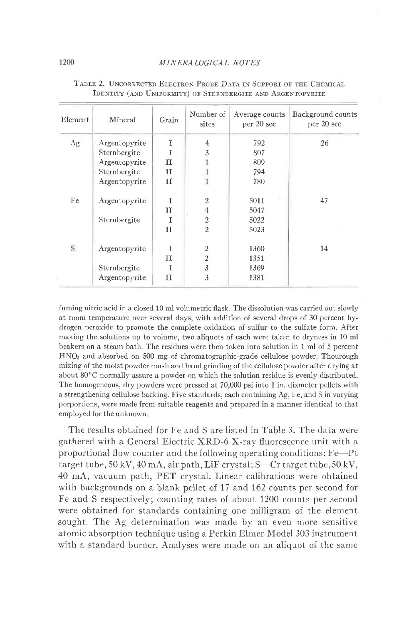### 1200 MINERALOGICAL NOTES

| <b>Element</b> | Mineral       | Grain | Number of<br>sites | Average counts<br>per 20 sec | Background counts<br>per 20 sec |
|----------------|---------------|-------|--------------------|------------------------------|---------------------------------|
| Ag             | Argentopyrite | I     | 4                  | 792                          | 26                              |
|                | Sternbergite  | т     | 3                  | 807                          |                                 |
|                | Argentopyrite | п     |                    | 809                          |                                 |
|                | Sternbergite  | п     |                    | 794                          |                                 |
|                | Argentopyrite | П     |                    | 780                          |                                 |
| Fe             | Argentopyrite | T     | $\overline{2}$     | 5011                         | 47                              |
|                |               | П     | $\overline{4}$     | 5047                         |                                 |
|                | Sternbergite  |       | $\overline{c}$     | 5022                         |                                 |
|                |               | H     | $\overline{2}$     | 5023                         |                                 |
| S              | Argentopyrite | T     | $\overline{2}$     | 1360                         | 14                              |
|                |               | П     | 2                  | 1351                         |                                 |
|                | Sternbergite  | T     | 3                  | 1369                         |                                 |
|                | Argentopyrite | П     | 3                  | 1381                         |                                 |

## TABLE 2. UNCORRECTED ELECTRON PROBE DATA IN SUPPORT OF THE CHEMICAL IDENTITY (AND UNIFORMITY) OF STERNBERGITE AND ARGENTOPYRITE

fuming nitric acid in a closed 10 ml volumetric flask. The dissolution was carried out slowly at room temperature over several days, with addition of several drops of 30 percent hydrogen peroxide to promote the complete oxidation of sulfur to the sulfate form. After making the solutions up to volume, two aliquots of each were taken to dryness in 10 ml beakers on a steam bath. The residues were then taken into solution in 1 ml of 5 percent  $HNO<sub>3</sub>$  and absorbed on 500 mg of chromatographic-grade cellulose powder. Thourough mixing of the moist powder mush and hand grinding of the cellulose powder after drying at about 80"C normally assure a powder on which the solution residue is evenly distributed. The homogeneous, dry powders were pressed at  $70,000$  psi into 1 in. diameter pellets with a strengthening cellulose backing. Five standards, each containing Ag, Fe, and S in varying porportions, were made from suitable reagents and prepared in a manner identical to that employed for the unknown.

The results obtained for Fe and S are listed in Table 3. The data were gathered with a General Electric XRD-6 X-ray fluorescence unit with a proportional flow counter and the following operating conditions:  $F_{e}$ -Pt target tube,  $50 \, \text{kV}$ ,  $40 \, \text{mA}$ , air path, LiF crystal; S-Cr target tube,  $50 \, \text{kV}$ , 40 mA, vacuum path, PET crystal. Linear calibrations were obtained with backgrounds on a blank pellet of 17 and 162 counts per second for Fe and S respectively; counting rates of about 1200 counts per second were obtained for standards containing one milligram of the element sought. The Ag determination was made by an even more sensitive atomic absorption technique using a Perkin Elmer Model 303 instrument with a standard burner. Analvses were made on an aliquot of the same